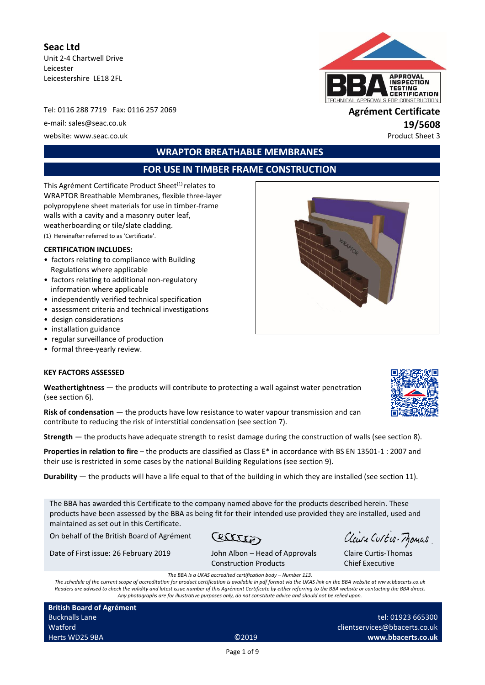**Seac Ltd** Unit 2-4 Chartwell Drive Leicester Leicestershire LE18 2FL

Tel: 0116 288 7719 Fax: 0116 257 2069 **Agrément Certificate** e-mail: sales@seac.co.uk **19/5608** website: www.seac.co.uk example of the example of the example of the example of the example of the example of the example of the example of the example of the example of the example of the example of the example of the exa



**WRAPTOR BREATHABLE MEMBRANES** 

# **FOR USE IN TIMBER FRAME CONSTRUCTION**

This Agrément Certificate Product Sheet<sup>(1)</sup> relates to WRAPTOR Breathable Membranes, flexible three-layer polypropylene sheet materials for use in timber-frame walls with a cavity and a masonry outer leaf, weatherboarding or tile/slate cladding. (1) Hereinafter referred to as 'Certificate'.

#### **CERTIFICATION INCLUDES:**

- factors relating to compliance with Building Regulations where applicable
- factors relating to additional non-regulatory information where applicable
- independently verified technical specification
- assessment criteria and technical investigations
- design considerations
- installation guidance
- regular surveillance of production
- formal three-yearly review.

#### **KEY FACTORS ASSESSED**

**Weathertightness** — the products will contribute to protecting a wall against water penetration (see section 6).

**Risk of condensation** — the products have low resistance to water vapour transmission and can contribute to reducing the risk of interstitial condensation (see section 7).

**Strength** — the products have adequate strength to resist damage during the construction of walls (see section 8).

**Properties in relation to fire** – the products are classified as Class E\* in accordance with BS EN 13501-1 : 2007 and their use is restricted in some cases by the national Building Regulations (see section 9).

**Durability** — the products will have a life equal to that of the building in which they are installed (see section 11).

The BBA has awarded this Certificate to the company named above for the products described herein. These products have been assessed by the BBA as being fit for their intended use provided they are installed, used and maintained as set out in this Certificate.

On behalf of the British Board of Agrément

Cectaton

Date of First issue: 26 February 2019 John Albon – Head of Approvals

Clause Curtis-Momas

Construction Products

Claire Curtis-Thomas Chief Executive

*The BBA is a UKAS accredited certification body – Number 113.*

*The schedule of the current scope of accreditation for product certification is available in pdf format via the UKAS link on the BBA website at www.bbacerts.co.uk Readers are advised to check the validity and latest issue number of this Agrément Certificate by either referring to the BBA website or contacting the BBA direct. Any photographs are for illustrative purposes only, do not constitute advice and should not be relied upon.*

**British Board of Agrément** Bucknalls Lane Watford Herts WD25 9BA ©2019

tel: 01923 665300 [clientservices@bbacerts.co.uk](mailto:clientservices@bbacerts.co.uk) **www.bbacerts.co.uk**

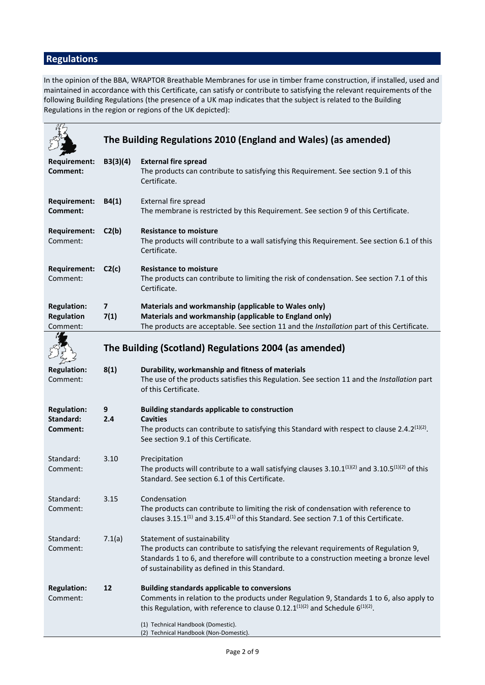# **Regulations**

In the opinion of the BBA, WRAPTOR Breathable Membranes for use in timber frame construction, if installed, used and maintained in accordance with this Certificate, can satisfy or contribute to satisfying the relevant requirements of the following Building Regulations (the presence of a UK map indicates that the subject is related to the Building Regulations in the region or regions of the UK depicted):

|                                                     |                                 | The Building Regulations 2010 (England and Wales) (as amended)                                                                                                                                                                                                    |
|-----------------------------------------------------|---------------------------------|-------------------------------------------------------------------------------------------------------------------------------------------------------------------------------------------------------------------------------------------------------------------|
|                                                     |                                 |                                                                                                                                                                                                                                                                   |
| <b>Requirement:</b><br>Comment:                     | B3(3)(4)                        | <b>External fire spread</b><br>The products can contribute to satisfying this Requirement. See section 9.1 of this<br>Certificate.                                                                                                                                |
| <b>Requirement:</b><br>Comment:                     | B4(1)                           | External fire spread<br>The membrane is restricted by this Requirement. See section 9 of this Certificate.                                                                                                                                                        |
| <b>Requirement:</b><br>Comment:                     | C2(b)                           | <b>Resistance to moisture</b><br>The products will contribute to a wall satisfying this Requirement. See section 6.1 of this<br>Certificate.                                                                                                                      |
| <b>Requirement:</b><br>Comment:                     | C2(c)                           | <b>Resistance to moisture</b><br>The products can contribute to limiting the risk of condensation. See section 7.1 of this<br>Certificate.                                                                                                                        |
| <b>Regulation:</b><br><b>Regulation</b><br>Comment: | $\overline{\mathbf{z}}$<br>7(1) | Materials and workmanship (applicable to Wales only)<br>Materials and workmanship (applicable to England only)<br>The products are acceptable. See section 11 and the Installation part of this Certificate.                                                      |
|                                                     |                                 | The Building (Scotland) Regulations 2004 (as amended)                                                                                                                                                                                                             |
| <b>Regulation:</b><br>Comment:                      | 8(1)                            | Durability, workmanship and fitness of materials<br>The use of the products satisfies this Regulation. See section 11 and the Installation part<br>of this Certificate.                                                                                           |
| <b>Regulation:</b><br>Standard:                     | 9<br>2.4                        | <b>Building standards applicable to construction</b><br><b>Cavities</b>                                                                                                                                                                                           |
| Comment:                                            |                                 | The products can contribute to satisfying this Standard with respect to clause 2.4.2 <sup>(1)(2)</sup> .<br>See section 9.1 of this Certificate.                                                                                                                  |
| Standard:<br>Comment:                               | 3.10                            | Precipitation<br>The products will contribute to a wall satisfying clauses $3.10.1^{(1)(2)}$ and $3.10.5^{(1)(2)}$ of this<br>Standard. See section 6.1 of this Certificate.                                                                                      |
| Standard:<br>Comment:                               | 3.15                            | Condensation<br>The products can contribute to limiting the risk of condensation with reference to<br>clauses $3.15.1^{(1)}$ and $3.15.4^{(1)}$ of this Standard. See section 7.1 of this Certificate.                                                            |
| Standard:<br>Comment:                               | 7.1(a)                          | Statement of sustainability<br>The products can contribute to satisfying the relevant requirements of Regulation 9,<br>Standards 1 to 6, and therefore will contribute to a construction meeting a bronze level<br>of sustainability as defined in this Standard. |
| <b>Regulation:</b><br>Comment:                      | 12                              | <b>Building standards applicable to conversions</b><br>Comments in relation to the products under Regulation 9, Standards 1 to 6, also apply to<br>this Regulation, with reference to clause 0.12.1 $(1)(2)$ and Schedule 6 $(1)(2)$ .                            |
|                                                     |                                 | (1) Technical Handbook (Domestic).<br>(2) Technical Handbook (Non-Domestic).                                                                                                                                                                                      |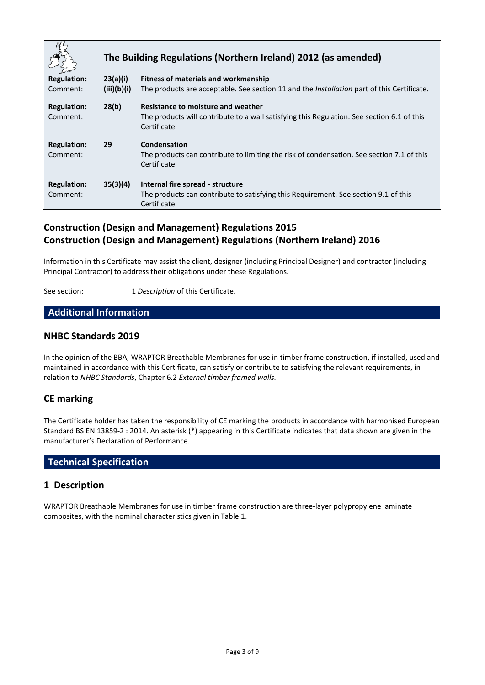|                    |             | The Building Regulations (Northern Ireland) 2012 (as amended)                                              |
|--------------------|-------------|------------------------------------------------------------------------------------------------------------|
| <b>Regulation:</b> | 23(a)(i)    | Fitness of materials and workmanship                                                                       |
| Comment:           | (iii)(b)(i) | The products are acceptable. See section 11 and the <i>Installation</i> part of this Certificate.          |
| <b>Regulation:</b> | 28(b)       | Resistance to moisture and weather                                                                         |
| Comment:           |             | The products will contribute to a wall satisfying this Regulation. See section 6.1 of this<br>Certificate. |
| <b>Regulation:</b> | 29          | Condensation                                                                                               |
| Comment:           |             | The products can contribute to limiting the risk of condensation. See section 7.1 of this<br>Certificate.  |
| <b>Regulation:</b> | 35(3)(4)    | Internal fire spread - structure                                                                           |
| Comment:           |             | The products can contribute to satisfying this Requirement. See section 9.1 of this                        |
|                    |             | Certificate.                                                                                               |

# **Construction (Design and Management) Regulations 2015 Construction (Design and Management) Regulations (Northern Ireland) 2016**

Information in this Certificate may assist the client, designer (including Principal Designer) and contractor (including Principal Contractor) to address their obligations under these Regulations.

See section: 1 *Description* of this Certificate.

# **Additional Information**

## **NHBC Standards 2019**

In the opinion of the BBA, WRAPTOR Breathable Membranes for use in timber frame construction, if installed, used and maintained in accordance with this Certificate, can satisfy or contribute to satisfying the relevant requirements, in relation to *NHBC Standards*, Chapter 6.2 *External timber framed walls.*

## **CE marking**

The Certificate holder has taken the responsibility of CE marking the products in accordance with harmonised European Standard BS EN 13859-2 : 2014. An asterisk (\*) appearing in this Certificate indicates that data shown are given in the manufacturer's Declaration of Performance.

## **Technical Specification**

## **1 Description**

WRAPTOR Breathable Membranes for use in timber frame construction are three-layer polypropylene laminate composites, with the nominal characteristics given in Table 1.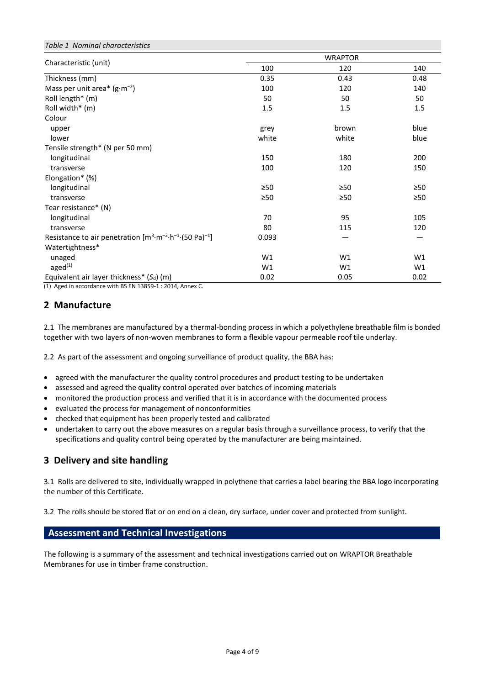| Table 1 Nominal characteristics                                                            |                |           |           |  |  |  |
|--------------------------------------------------------------------------------------------|----------------|-----------|-----------|--|--|--|
|                                                                                            | <b>WRAPTOR</b> |           |           |  |  |  |
| Characteristic (unit)                                                                      | 100            | 120       | 140       |  |  |  |
| Thickness (mm)                                                                             | 0.35           | 0.43      | 0.48      |  |  |  |
| Mass per unit area* $(g \cdot m^{-2})$                                                     | 100            | 120       | 140       |  |  |  |
| Roll length* (m)                                                                           | 50             | 50        | 50        |  |  |  |
| Roll width* (m)                                                                            | 1.5            | 1.5       | 1.5       |  |  |  |
| Colour                                                                                     |                |           |           |  |  |  |
| upper                                                                                      | grey           | brown     | blue      |  |  |  |
| lower                                                                                      | white          | white     | blue      |  |  |  |
| Tensile strength* (N per 50 mm)                                                            |                |           |           |  |  |  |
| longitudinal                                                                               | 150            | 180       | 200       |  |  |  |
| transverse                                                                                 | 100            | 120       | 150       |  |  |  |
| Elongation* (%)                                                                            |                |           |           |  |  |  |
| longitudinal                                                                               | $\geq 50$      | ≥50       | ≥50       |  |  |  |
| transverse                                                                                 | >50            | $\geq 50$ | $\geq 50$ |  |  |  |
| Tear resistance* (N)                                                                       |                |           |           |  |  |  |
| longitudinal                                                                               | 70             | 95        | 105       |  |  |  |
| transverse                                                                                 | 80             | 115       | 120       |  |  |  |
| Resistance to air penetration $[m^3 \cdot m^{-2} \cdot h^{-1} \cdot (50 \text{ Pa})^{-1}]$ | 0.093          |           |           |  |  |  |
| Watertightness*                                                                            |                |           |           |  |  |  |
| unaged                                                                                     | W1             | W1        | W1        |  |  |  |
| aged <sup>(1)</sup>                                                                        | W1             | W1        | W1        |  |  |  |
| Equivalent air layer thickness* $(S_d)$ (m)                                                | 0.02           | 0.05      | 0.02      |  |  |  |

(1) Aged in accordance with BS EN 13859-1 : 2014, Annex C.

# **2 Manufacture**

*Table 1 Nominal characteristics*

2.1 The membranes are manufactured by a thermal-bonding process in which a polyethylene breathable film is bonded together with two layers of non-woven membranes to form a flexible vapour permeable roof tile underlay.

2.2 As part of the assessment and ongoing surveillance of product quality, the BBA has:

- agreed with the manufacturer the quality control procedures and product testing to be undertaken
- assessed and agreed the quality control operated over batches of incoming materials
- monitored the production process and verified that it is in accordance with the documented process
- evaluated the process for management of nonconformities
- checked that equipment has been properly tested and calibrated
- undertaken to carry out the above measures on a regular basis through a surveillance process, to verify that the specifications and quality control being operated by the manufacturer are being maintained.

## **3 Delivery and site handling**

3.1 Rolls are delivered to site, individually wrapped in polythene that carries a label bearing the BBA logo incorporating the number of this Certificate.

3.2 The rolls should be stored flat or on end on a clean, dry surface, under cover and protected from sunlight.

# **Assessment and Technical Investigations**

The following is a summary of the assessment and technical investigations carried out on WRAPTOR Breathable Membranes for use in timber frame construction.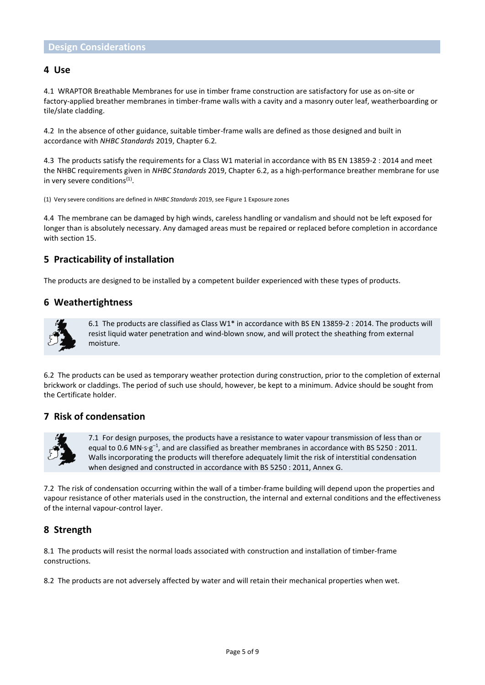#### **4 Use**

4.1 WRAPTOR Breathable Membranes for use in timber frame construction are satisfactory for use as on-site or factory-applied breather membranes in timber-frame walls with a cavity and a masonry outer leaf, weatherboarding or tile/slate cladding.

4.2 In the absence of other guidance, suitable timber-frame walls are defined as those designed and built in accordance with *NHBC Standards* 2019, Chapter 6.2*.*

4.3 The products satisfy the requirements for a Class W1 material in accordance with BS EN 13859-2 : 2014 and meet the NHBC requirements given in *NHBC Standards* 2019, Chapter 6.2, as a high-performance breather membrane for use in very severe conditions<sup>(1)</sup>.

(1) Very severe conditions are defined in *NHBC Standards* 2019, see Figure 1 Exposure zones

4.4 The membrane can be damaged by high winds, careless handling or vandalism and should not be left exposed for longer than is absolutely necessary. Any damaged areas must be repaired or replaced before completion in accordance with section 15.

## **5 Practicability of installation**

The products are designed to be installed by a competent builder experienced with these types of products.

#### **6 Weathertightness**



6.1 The products are classified as Class W1\* in accordance with BS EN 13859-2 : 2014. The products will resist liquid water penetration and wind-blown snow, and will protect the sheathing from external moisture.

6.2 The products can be used as temporary weather protection during construction, prior to the completion of external brickwork or claddings. The period of such use should, however, be kept to a minimum. Advice should be sought from the Certificate holder.

#### **7 Risk of condensation**



7.1 For design purposes, the products have a resistance to water vapour transmission of less than or equal to 0.6 MN·s· $g^{-1}$ , and are classified as breather membranes in accordance with BS 5250 : 2011. Walls incorporating the products will therefore adequately limit the risk of interstitial condensation when designed and constructed in accordance with BS 5250 : 2011, Annex G.

7.2 The risk of condensation occurring within the wall of a timber-frame building will depend upon the properties and vapour resistance of other materials used in the construction, the internal and external conditions and the effectiveness of the internal vapour-control layer.

## **8 Strength**

8.1 The products will resist the normal loads associated with construction and installation of timber-frame constructions.

8.2 The products are not adversely affected by water and will retain their mechanical properties when wet.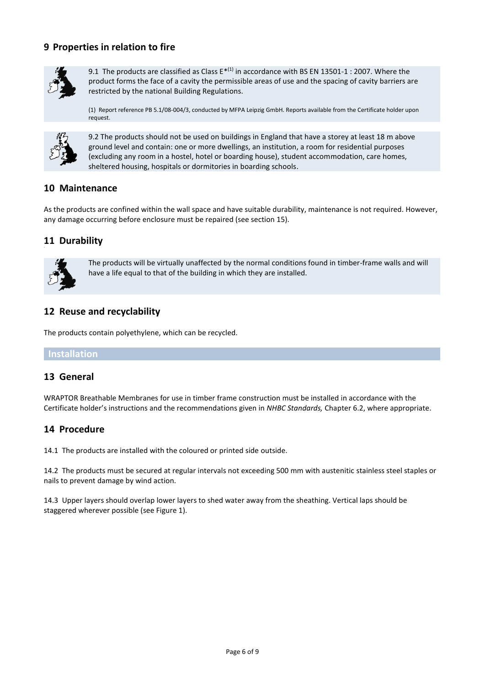## **9 Properties in relation to fire**



9.1 The products are classified as Class  $E^{*(1)}$  in accordance with BS EN 13501-1 : 2007. Where the product forms the face of a cavity the permissible areas of use and the spacing of cavity barriers are restricted by the national Building Regulations.

(1) Report reference PB 5.1/08-004/3, conducted by MFPA Leipzig GmbH. Reports available from the Certificate holder upon request.



9.2 The products should not be used on buildings in England that have a storey at least 18 m above ground level and contain: one or more dwellings, an institution, a room for residential purposes (excluding any room in a hostel, hotel or boarding house), student accommodation, care homes, sheltered housing, hospitals or dormitories in boarding schools.

## **10 Maintenance**

As the products are confined within the wall space and have suitable durability, maintenance is not required. However, any damage occurring before enclosure must be repaired (see section 15).

## **11 Durability**



The products will be virtually unaffected by the normal conditions found in timber-frame walls and will have a life equal to that of the building in which they are installed.

## **12 Reuse and recyclability**

The products contain polyethylene, which can be recycled.

#### **Installation**

#### **13 General**

WRAPTOR Breathable Membranes for use in timber frame construction must be installed in accordance with the Certificate holder's instructions and the recommendations given in *NHBC Standards,* Chapter 6.2, where appropriate.

## **14 Procedure**

14.1 The products are installed with the coloured or printed side outside.

14.2 The products must be secured at regular intervals not exceeding 500 mm with austenitic stainless steel staples or nails to prevent damage by wind action.

14.3 Upper layers should overlap lower layers to shed water away from the sheathing. Vertical laps should be staggered wherever possible (see Figure 1).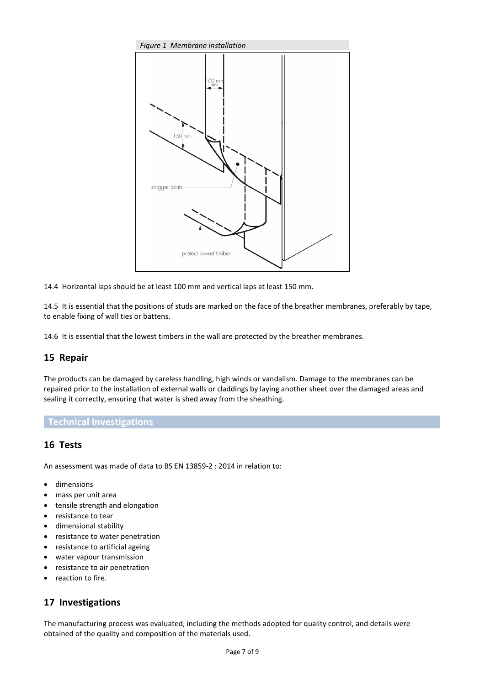

14.4 Horizontal laps should be at least 100 mm and vertical laps at least 150 mm.

14.5 It is essential that the positions of studs are marked on the face of the breather membranes, preferably by tape, to enable fixing of wall ties or battens.

14.6 It is essential that the lowest timbers in the wall are protected by the breather membranes.

## **15 Repair**

The products can be damaged by careless handling, high winds or vandalism. Damage to the membranes can be repaired prior to the installation of external walls or claddings by laying another sheet over the damaged areas and sealing it correctly, ensuring that water is shed away from the sheathing.

#### **Technical Investigations**

## **16 Tests**

An assessment was made of data to BS EN 13859-2 : 2014 in relation to:

- dimensions
- mass per unit area
- tensile strength and elongation
- resistance to tear
- dimensional stability
- resistance to water penetration
- resistance to artificial ageing
- water vapour transmission
- resistance to air penetration
- reaction to fire.

## **17 Investigations**

The manufacturing process was evaluated, including the methods adopted for quality control, and details were obtained of the quality and composition of the materials used.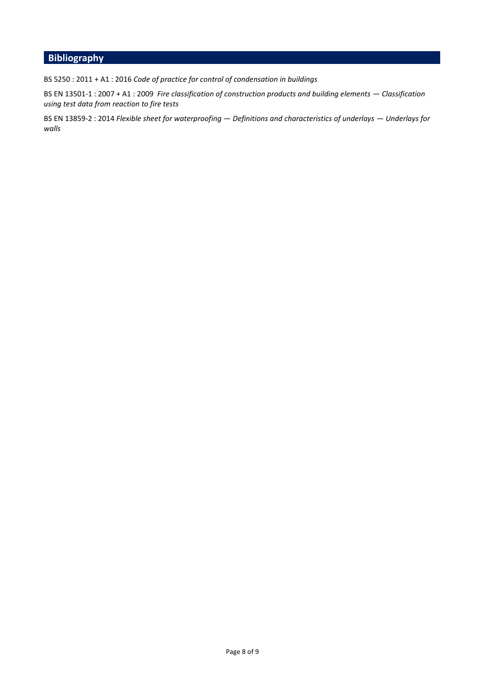# **Bibliography**

BS 5250 : 2011 + A1 : 2016 *Code of practice for control of condensation in buildings* 

BS EN 13501-1 : 2007 + A1 : 2009 *Fire classification of construction products and building elements — Classification using test data from reaction to fire tests* 

BS EN 13859-2 : 2014 *Flexible sheet for waterproofing — Definitions and characteristics of underlays — Underlays for walls*